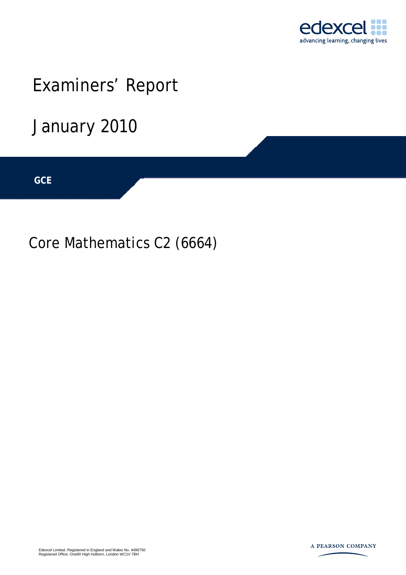

# Examiners' Report

## January 2010

**IGCSE GCE** 

Core Mathematics C2 (6664)

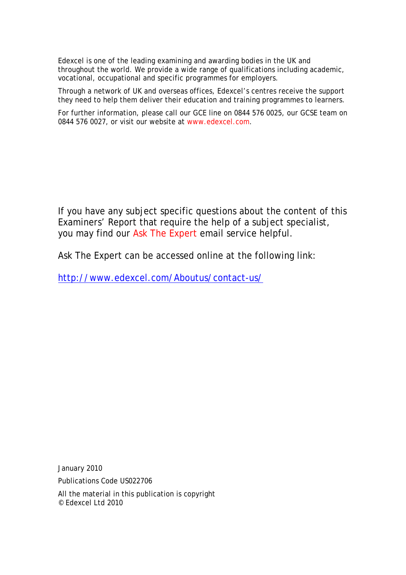Edexcel is one of the leading examining and awarding bodies in the UK and throughout the world. We provide a wide range of qualifications including academic, vocational, occupational and specific programmes for employers.

Through a network of UK and overseas offices, Edexcel's centres receive the support they need to help them deliver their education and training programmes to learners.

For further information, please call our GCE line on 0844 576 0025, our GCSE team on 0844 576 0027, or visit our website at www.edexcel.com.

If you have any subject specific questions about the content of this Examiners' Report that require the help of a subject specialist, you may find our Ask The Expert email service helpful.

Ask The Expert can be accessed online at the following link:

http://www.edexcel.com/Aboutus/contact-us/

January 2010

Publications Code US022706

All the material in this publication is copyright © Edexcel Ltd 2010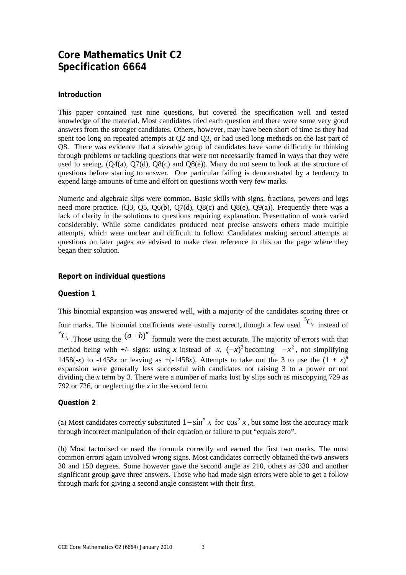### **Core Mathematics Unit C2 Specification 6664**

#### **Introduction**

This paper contained just nine questions, but covered the specification well and tested knowledge of the material. Most candidates tried each question and there were some very good answers from the stronger candidates. Others, however, may have been short of time as they had spent too long on repeated attempts at Q2 and Q3, or had used long methods on the last part of Q8. There was evidence that a sizeable group of candidates have some difficulty in thinking through problems or tackling questions that were not necessarily framed in ways that they were used to seeing.  $(Q4(a), Q7(d), Q8(c)$  and  $Q8(e)$ ). Many do not seem to look at the structure of questions before starting to answer. One particular failing is demonstrated by a tendency to expend large amounts of time and effort on questions worth very few marks.

Numeric and algebraic slips were common, Basic skills with signs, fractions, powers and logs need more practice.  $(Q3, Q5, Q6(b), Q7(d), Q8(c)$  and  $Q8(e), Q9(a)$ ). Frequently there was a lack of clarity in the solutions to questions requiring explanation. Presentation of work varied considerably. While some candidates produced neat precise answers others made multiple attempts, which were unclear and difficult to follow. Candidates making second attempts at questions on later pages are advised to make clear reference to this on the page where they began their solution.

#### **Report on individual questions**

#### **Question 1**

This binomial expansion was answered well, with a majority of the candidates scoring three or four marks. The binomial coefficients were usually correct, though a few used  ${}^5C_r$  instead of <sup>6</sup>C<sub>r</sub>. Those using the  $(a+b)^n$  formula were the most accurate. The majority of errors with that method being with  $+/-$  signs: using *x* instead of  $-x$ ,  $(-x)^2$  becoming  $-x^2$ , not simplifying 1458(-*x*) to -1458*x* or leaving as +(-1458*x*). Attempts to take out the 3 to use the  $(1 + x)^n$ expansion were generally less successful with candidates not raising 3 to a power or not dividing the *x* term by 3. There were a number of marks lost by slips such as miscopying 729 as 792 or 726, or neglecting the *x* in the second term.

#### **Question 2**

(a) Most candidates correctly substituted  $1 - \sin^2 x$  for  $\cos^2 x$ , but some lost the accuracy mark through incorrect manipulation of their equation or failure to put "equals zero".

(b) Most factorised or used the formula correctly and earned the first two marks. The most common errors again involved wrong signs. Most candidates correctly obtained the two answers 30 and 150 degrees. Some however gave the second angle as 210, others as 330 and another significant group gave three answers. Those who had made sign errors were able to get a follow through mark for giving a second angle consistent with their first.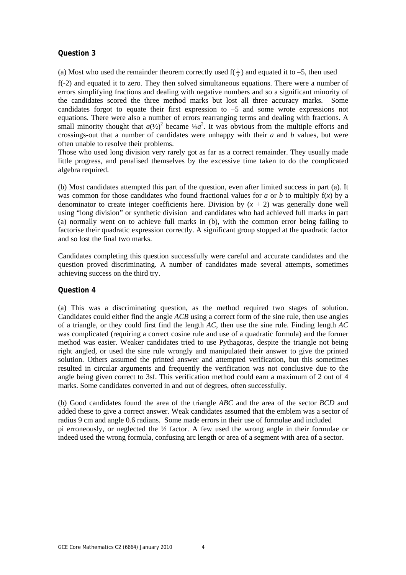(a) Most who used the remainder theorem correctly used  $f(\frac{1}{2})$  and equated it to -5, then used

f(-2) and equated it to zero. They then solved simultaneous equations. There were a number of errors simplifying fractions and dealing with negative numbers and so a significant minority of the candidates scored the three method marks but lost all three accuracy marks. Some candidates forgot to equate their first expression to –5 and some wrote expressions not equations. There were also a number of errors rearranging terms and dealing with fractions. A small minority thought that  $a^{(\frac{1}{2})^2}$  became  $\frac{1}{4}a^2$ . It was obvious from the multiple efforts and crossings-out that a number of candidates were unhappy with their *a* and *b* values, but were often unable to resolve their problems.

Those who used long division very rarely got as far as a correct remainder. They usually made little progress, and penalised themselves by the excessive time taken to do the complicated algebra required.

(b) Most candidates attempted this part of the question, even after limited success in part (a). It was common for those candidates who found fractional values for *a* or *b* to multiply  $f(x)$  by a denominator to create integer coefficients here. Division by  $(x + 2)$  was generally done well using "long division" or synthetic division and candidates who had achieved full marks in part (a) normally went on to achieve full marks in (b), with the common error being failing to factorise their quadratic expression correctly. A significant group stopped at the quadratic factor and so lost the final two marks.

Candidates completing this question successfully were careful and accurate candidates and the question proved discriminating. A number of candidates made several attempts, sometimes achieving success on the third try.

#### **Question 4**

(a) This was a discriminating question, as the method required two stages of solution. Candidates could either find the angle *ACB* using a correct form of the sine rule, then use angles of a triangle, or they could first find the length *AC*, then use the sine rule. Finding length *AC*  was complicated (requiring a correct cosine rule and use of a quadratic formula) and the former method was easier. Weaker candidates tried to use Pythagoras, despite the triangle not being right angled, or used the sine rule wrongly and manipulated their answer to give the printed solution. Others assumed the printed answer and attempted verification, but this sometimes resulted in circular arguments and frequently the verification was not conclusive due to the angle being given correct to 3sf. This verification method could earn a maximum of 2 out of 4 marks. Some candidates converted in and out of degrees, often successfully.

(b) Good candidates found the area of the triangle *ABC* and the area of the sector *BCD* and added these to give a correct answer. Weak candidates assumed that the emblem was a sector of radius 9 cm and angle 0.6 radians. Some made errors in their use of formulae and included pi erroneously, or neglected the ½ factor. A few used the wrong angle in their formulae or indeed used the wrong formula, confusing arc length or area of a segment with area of a sector.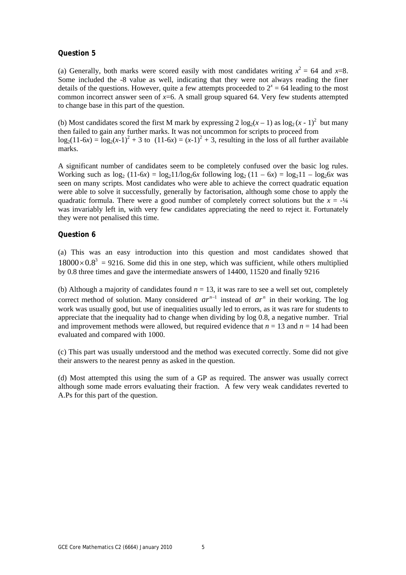(a) Generally, both marks were scored easily with most candidates writing  $x^2 = 64$  and  $x=8$ . Some included the -8 value as well, indicating that they were not always reading the finer details of the questions. However, quite a few attempts proceeded to  $2^x = 64$  leading to the most common incorrect answer seen of  $x=6$ . A small group squared 64. Very few students attempted to change base in this part of the question.

(b) Most candidates scored the first M mark by expressing  $2 \log_2(x-1)$  as  $\log_2(x-1)^2$  but many then failed to gain any further marks. It was not uncommon for scripts to proceed from  $log_2(11-6x) = log_2(x-1)^2 + 3$  to  $(11-6x) = (x-1)^2 + 3$ , resulting in the loss of all further available marks.

A significant number of candidates seem to be completely confused over the basic log rules. Working such as  $\log_2 (11-6x) = \log_2 11/\log_2 6x$  following  $\log_2 (11-6x) = \log_2 11 - \log_2 6x$  was seen on many scripts. Most candidates who were able to achieve the correct quadratic equation were able to solve it successfully, generally by factorisation, although some chose to apply the quadratic formula. There were a good number of completely correct solutions but the  $x = -\frac{1}{4}$ was invariably left in, with very few candidates appreciating the need to reject it. Fortunately they were not penalised this time.

#### **Question 6**

(a) This was an easy introduction into this question and most candidates showed that  $18000 \times 0.8^3 = 9216$ . Some did this in one step, which was sufficient, while others multiplied by 0.8 three times and gave the intermediate answers of 14400, 11520 and finally 9216

(b) Although a majority of candidates found  $n = 13$ , it was rare to see a well set out, completely correct method of solution. Many considered  $ar^{n-1}$  instead of  $ar^n$  in their working. The log work was usually good, but use of inequalities usually led to errors, as it was rare for students to appreciate that the inequality had to change when dividing by log 0.8, a negative number. Trial and improvement methods were allowed, but required evidence that  $n = 13$  and  $n = 14$  had been evaluated and compared with 1000.

(c) This part was usually understood and the method was executed correctly. Some did not give their answers to the nearest penny as asked in the question.

(d) Most attempted this using the sum of a GP as required. The answer was usually correct although some made errors evaluating their fraction. A few very weak candidates reverted to A.Ps for this part of the question.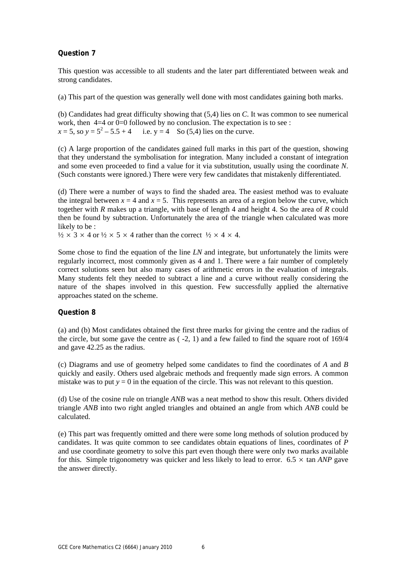This question was accessible to all students and the later part differentiated between weak and strong candidates.

(a) This part of the question was generally well done with most candidates gaining both marks.

(b) Candidates had great difficulty showing that (5,4) lies on *C*. It was common to see numerical work, then  $4=4$  or  $0=0$  followed by no conclusion. The expectation is to see :  $x = 5$ , so  $y = 5^2 - 5.5 + 4$  i.e.  $y = 4$  So (5,4) lies on the curve.

(c) A large proportion of the candidates gained full marks in this part of the question, showing that they understand the symbolisation for integration. Many included a constant of integration and some even proceeded to find a value for it via substitution, usually using the coordinate *N*. (Such constants were ignored.) There were very few candidates that mistakenly differentiated.

(d) There were a number of ways to find the shaded area. The easiest method was to evaluate the integral between  $x = 4$  and  $x = 5$ . This represents an area of a region below the curve, which together with *R* makes up a triangle, with base of length 4 and height 4. So the area of *R* could then be found by subtraction. Unfortunately the area of the triangle when calculated was more likely to be :

 $\frac{1}{2} \times 3 \times 4$  or  $\frac{1}{2} \times 5 \times 4$  rather than the correct  $\frac{1}{2} \times 4 \times 4$ .

Some chose to find the equation of the line *LN* and integrate, but unfortunately the limits were regularly incorrect, most commonly given as 4 and 1. There were a fair number of completely correct solutions seen but also many cases of arithmetic errors in the evaluation of integrals. Many students felt they needed to subtract a line and a curve without really considering the nature of the shapes involved in this question. Few successfully applied the alternative approaches stated on the scheme.

#### **Question 8**

(a) and (b) Most candidates obtained the first three marks for giving the centre and the radius of the circle, but some gave the centre as ( -2, 1) and a few failed to find the square root of 169/4 and gave 42.25 as the radius.

(c) Diagrams and use of geometry helped some candidates to find the coordinates of *A* and *B* quickly and easily. Others used algebraic methods and frequently made sign errors. A common mistake was to put  $y = 0$  in the equation of the circle. This was not relevant to this question.

(d) Use of the cosine rule on triangle *ANB* was a neat method to show this result. Others divided triangle *ANB* into two right angled triangles and obtained an angle from which *ANB* could be calculated.

(e) This part was frequently omitted and there were some long methods of solution produced by candidates. It was quite common to see candidates obtain equations of lines, coordinates of *P* and use coordinate geometry to solve this part even though there were only two marks available for this. Simple trigonometry was quicker and less likely to lead to error.  $6.5 \times \tan AND$  gave the answer directly.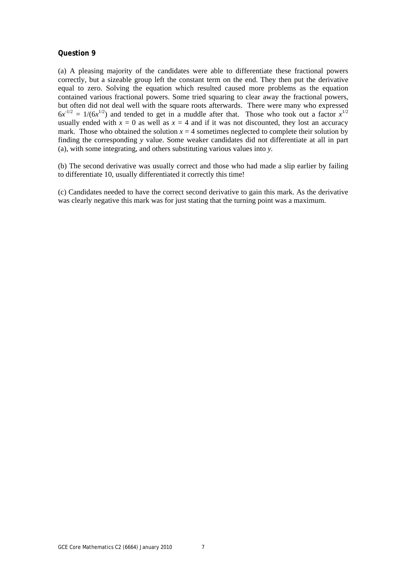(a) A pleasing majority of the candidates were able to differentiate these fractional powers correctly, but a sizeable group left the constant term on the end. They then put the derivative equal to zero. Solving the equation which resulted caused more problems as the equation contained various fractional powers. Some tried squaring to clear away the fractional powers, but often did not deal well with the square roots afterwards. There were many who expressed  $6x^{-1/2} = 1/(6x^{1/2})$  and tended to get in a muddle after that. Those who took out a factor  $x^{1/2}$ usually ended with  $x = 0$  as well as  $x = 4$  and if it was not discounted, they lost an accuracy mark. Those who obtained the solution  $x = 4$  sometimes neglected to complete their solution by finding the corresponding *y* value. Some weaker candidates did not differentiate at all in part (a), with some integrating, and others substituting various values into *y.* 

(b) The second derivative was usually correct and those who had made a slip earlier by failing to differentiate 10, usually differentiated it correctly this time!

(c) Candidates needed to have the correct second derivative to gain this mark. As the derivative was clearly negative this mark was for just stating that the turning point was a maximum.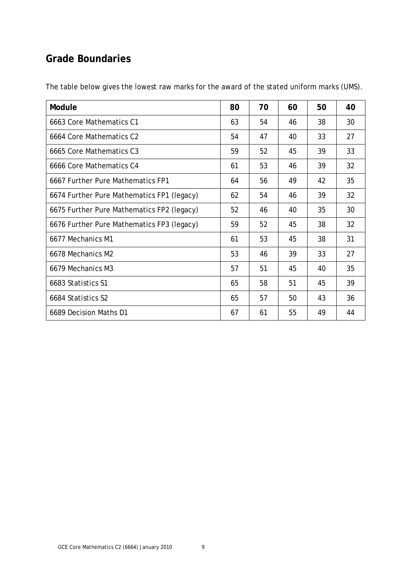### **Grade Boundaries**

| Module                                     | 80 | 70 | 60 | 50 | 40 |
|--------------------------------------------|----|----|----|----|----|
| 6663 Core Mathematics C1                   | 63 | 54 | 46 | 38 | 30 |
| 6664 Core Mathematics C2                   | 54 | 47 | 40 | 33 | 27 |
| 6665 Core Mathematics C3                   | 59 | 52 | 45 | 39 | 33 |
| 6666 Core Mathematics C4                   | 61 | 53 | 46 | 39 | 32 |
| 6667 Further Pure Mathematics FP1          | 64 | 56 | 49 | 42 | 35 |
| 6674 Further Pure Mathematics FP1 (legacy) | 62 | 54 | 46 | 39 | 32 |
| 6675 Further Pure Mathematics FP2 (legacy) | 52 | 46 | 40 | 35 | 30 |
| 6676 Further Pure Mathematics FP3 (legacy) | 59 | 52 | 45 | 38 | 32 |
| 6677 Mechanics M1                          | 61 | 53 | 45 | 38 | 31 |
| 6678 Mechanics M2                          | 53 | 46 | 39 | 33 | 27 |
| 6679 Mechanics M3                          | 57 | 51 | 45 | 40 | 35 |
| 6683 Statistics S1                         | 65 | 58 | 51 | 45 | 39 |
| 6684 Statistics S2                         | 65 | 57 | 50 | 43 | 36 |
| 6689 Decision Maths D1                     | 67 | 61 | 55 | 49 | 44 |

The table below gives the lowest raw marks for the award of the stated uniform marks (UMS).